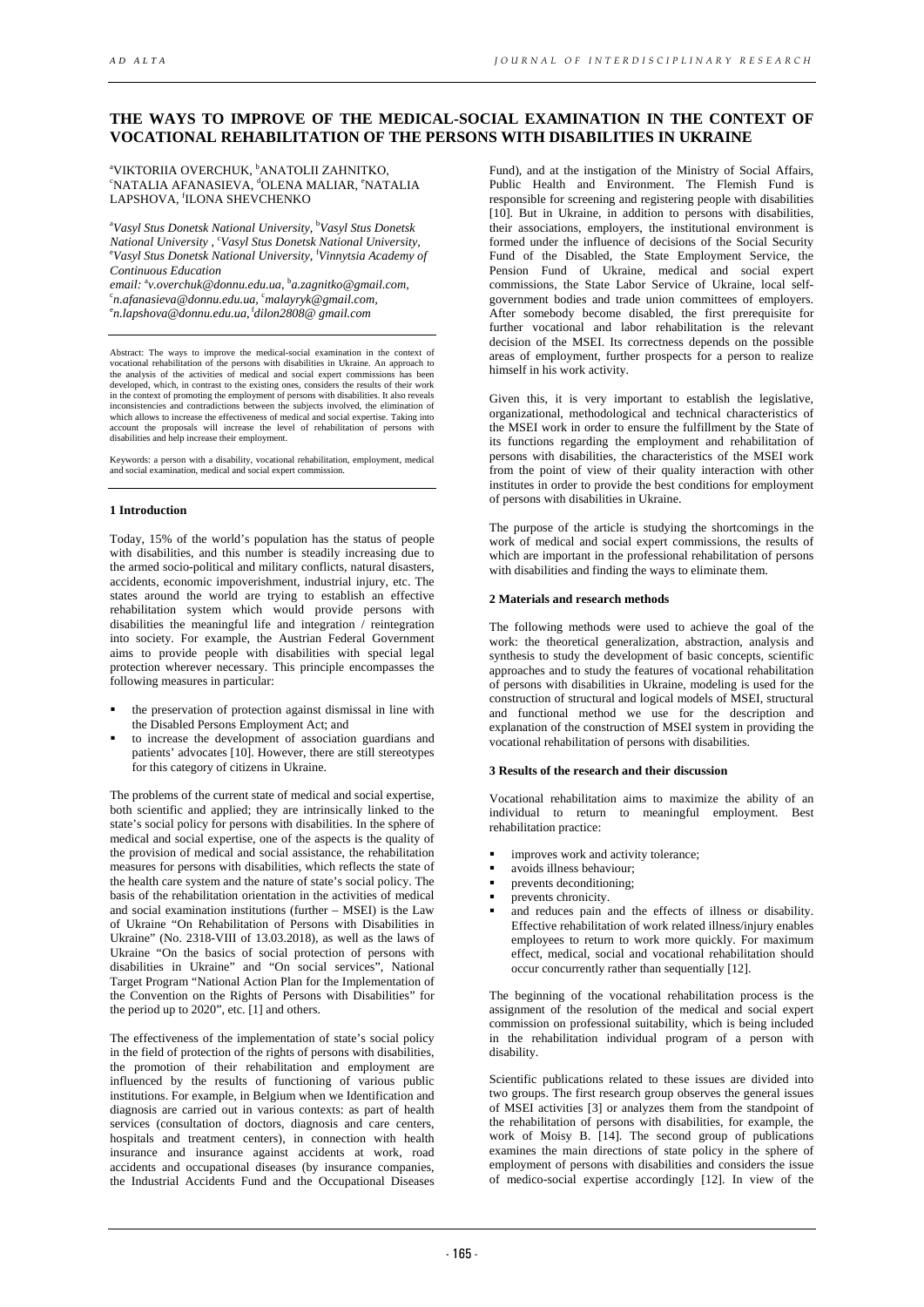# **THE WAYS TO IMPROVE OF THE MEDICAL-SOCIAL EXAMINATION IN THE CONTEXT OF VOCATIONAL REHABILITATION OF THE PERSONS WITH DISABILITIES IN UKRAINE**

<sup>a</sup>VIKTORIIA OVERCHUK, <sup>b</sup>ANATOLII ZAHNITKO, <sup>e</sup>NATALIA AFANASIEVA, <sup>d</sup>OLENA MALIAR, <sup>e</sup>NATALIA LAPSHOVA, <sup>f</sup> ILONA SHEVCHENKO

a *Vasyl Stus Donetsk National University,* <sup>b</sup> *Vasyl Stus Donetsk National University ,* <sup>c</sup> *Vasyl Stus Donetsk National University,* e *Vasyl Stus Donetsk National University,* <sup>f</sup> *Vinnytsia Academy of Continuous Education*

email: <sup>a</sup>v.overchuk@donnu.edu.ua, <sup>b</sup>a.zagnitko@gmail.com, c *n.afanasieva@donnu.edu.ua,* <sup>c</sup> *malayryk@gmail.com,* e *n.lapshova@donnu.edu.ua,*<sup>f</sup>*dilon2808@ gmail.com*

Abstract: The ways to improve the medical-social examination in the context of vocational rehabilitation of the persons with disabilities in Ukraine. An approach to the analysis of the activities of medical and social expert commissions has been developed, which, in contrast to the existing ones, con in the context of promoting the employment of persons with disabilities. It also reveals inconsistencies and contradictions between the subjects involved, the elimination of which allows to increase the effectiveness of medical and social expertise. Taking into account the proposals will increase the level of rehabilitation of persons with disabilities and help increase their employment.

Keywords: a person with a disability, vocational rehabilitation, employment, medical and social examination, medical and social expert commission.

### **1 Introduction**

Today, 15% of the world's population has the status of people with disabilities, and this number is steadily increasing due to the armed socio-political and military conflicts, natural disasters, accidents, economic impoverishment, industrial injury, etc. The states around the world are trying to establish an effective rehabilitation system which would provide persons with disabilities the meaningful life and integration / reintegration into society. For example, the Austrian Federal Government aims to provide people with disabilities with special legal protection wherever necessary. This principle encompasses the following measures in particular:

- the preservation of protection against dismissal in line with the Disabled Persons Employment Act; and
- to increase the development of association guardians and patients' advocates [10]. However, there are still stereotypes for this category of citizens in Ukraine.

The problems of the current state of medical and social expertise, both scientific and applied; they are intrinsically linked to the state's social policy for persons with disabilities. In the sphere of medical and social expertise, one of the aspects is the quality of the provision of medical and social assistance, the rehabilitation measures for persons with disabilities, which reflects the state of the health care system and the nature of state's social policy. The basis of the rehabilitation orientation in the activities of medical and social examination institutions (further – MSEI) is the Law of Ukraine "On Rehabilitation of Persons with Disabilities in Ukraine" (No. 2318-VIII of 13.03.2018), as well as the laws of Ukraine "On the basics of social protection of persons with disabilities in Ukraine" and "On social services", National Target Program "National Action Plan for the Implementation of the Convention on the Rights of Persons with Disabilities" for the period up to 2020", etc. [1] and others.

The effectiveness of the implementation of state's social policy in the field of protection of the rights of persons with disabilities, the promotion of their rehabilitation and employment are influenced by the results of functioning of various public institutions. For example, in Belgium when we Identification and diagnosis are carried out in various contexts: as part of health services (consultation of doctors, diagnosis and care centers, hospitals and treatment centers), in connection with health insurance and insurance against accidents at work, road accidents and occupational diseases (by insurance companies, the Industrial Accidents Fund and the Occupational Diseases

Fund), and at the instigation of the Ministry of Social Affairs, Public Health and Environment. The Flemish Fund is responsible for screening and registering people with disabilities [10]. But in Ukraine, in addition to persons with disabilities, their associations, employers, the institutional environment is formed under the influence of decisions of the Social Security Fund of the Disabled, the State Employment Service, the Pension Fund of Ukraine, medical and social expert commissions, the State Labor Service of Ukraine, local selfgovernment bodies and trade union committees of employers. After somebody become disabled, the first prerequisite for further vocational and labor rehabilitation is the relevant decision of the MSEI. Its correctness depends on the possible areas of employment, further prospects for a person to realize himself in his work activity.

Given this, it is very important to establish the legislative, organizational, methodological and technical characteristics of the MSEI work in order to ensure the fulfillment by the State of its functions regarding the employment and rehabilitation of persons with disabilities, the characteristics of the MSEI work from the point of view of their quality interaction with other institutes in order to provide the best conditions for employment of persons with disabilities in Ukraine.

The purpose of the article is studying the shortcomings in the work of medical and social expert commissions, the results of which are important in the professional rehabilitation of persons with disabilities and finding the ways to eliminate them.

#### **2 Materials and research methods**

The following methods were used to achieve the goal of the work: the theoretical generalization, abstraction, analysis and synthesis to study the development of basic concepts, scientific approaches and to study the features of vocational rehabilitation of persons with disabilities in Ukraine, modeling is used for the construction of structural and logical models of MSEI, structural and functional method we use for the description and explanation of the construction of MSEI system in providing the vocational rehabilitation of persons with disabilities.

# **3 Results of the research and their discussion**

Vocational rehabilitation aims to maximize the ability of an individual to return to meaningful employment. Best rehabilitation practice:

- improves work and activity tolerance;
- avoids illness behaviour;
- prevents deconditioning;
- prevents chronicity.
- and reduces pain and the effects of illness or disability. Effective rehabilitation of work related illness/injury enables employees to return to work more quickly. For maximum effect, medical, social and vocational rehabilitation should occur concurrently rather than sequentially [12].

The beginning of the vocational rehabilitation process is the assignment of the resolution of the medical and social expert commission on professional suitability, which is being included in the rehabilitation individual program of a person with disability.

Scientific publications related to these issues are divided into two groups. The first research group observes the general issues of MSEI activities [3] or analyzes them from the standpoint of the rehabilitation of persons with disabilities, for example, the work of Moisy B. [14]. The second group of publications examines the main directions of state policy in the sphere of employment of persons with disabilities and considers the issue of medico-social expertise accordingly [12]. In view of the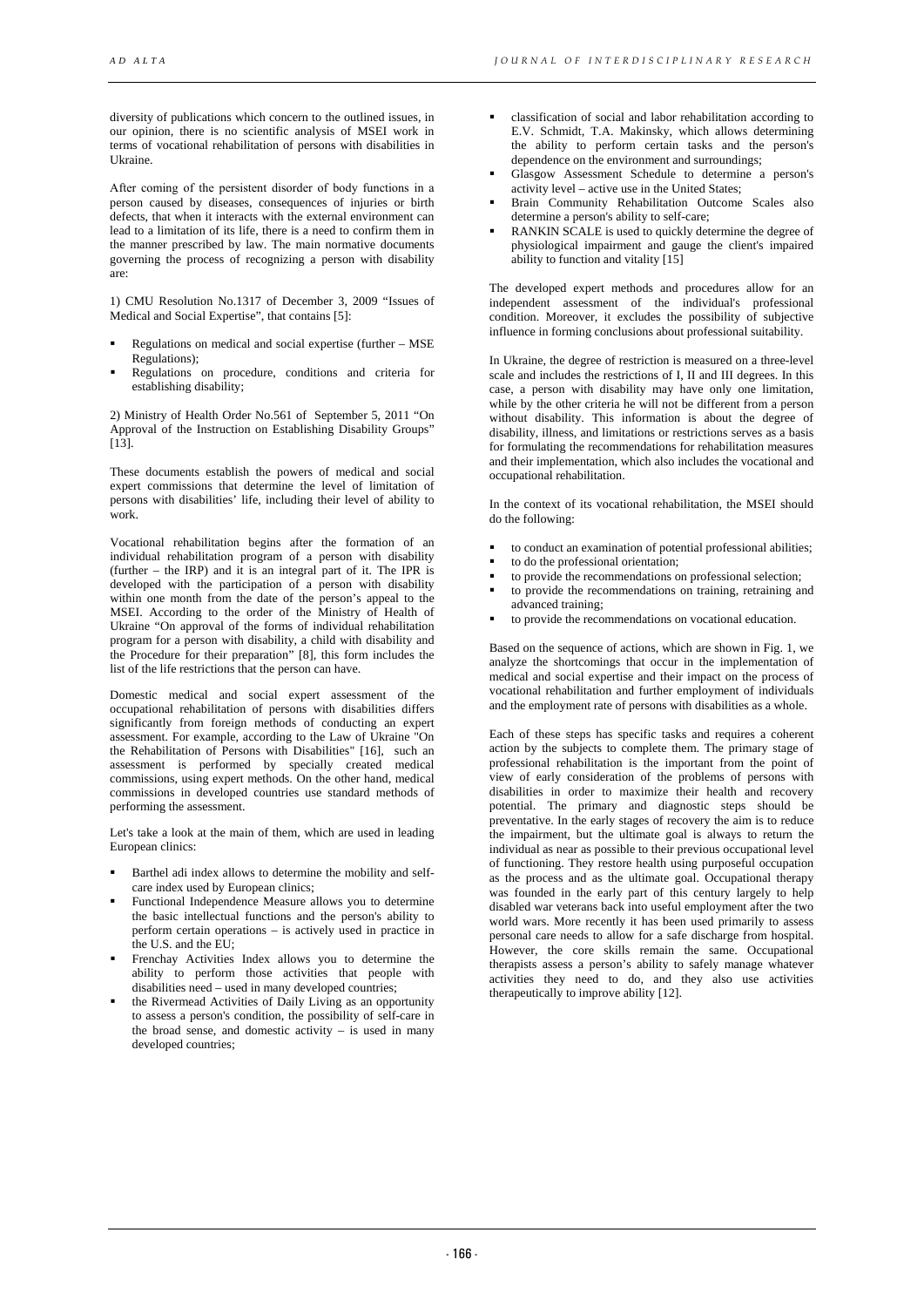diversity of publications which concern to the outlined issues, in our opinion, there is no scientific analysis of MSEI work in terms of vocational rehabilitation of persons with disabilities in Ukraine.

After сoming of the persistent disorder of body functions in a person caused by diseases, consequences of injuries or birth defects, that when it interacts with the external environment can lead to a limitation of its life, there is a need to confirm them in the manner prescribed by law. The main normative documents governing the process of recognizing a person with disability are:

1) CMU Resolution No.1317 of December 3, 2009 "Issues of Medical and Social Expertise", that contains [5]:

- Regulations on medical and social expertise (further MSE Regulations);
- Regulations on procedure, conditions and criteria for establishing disability;

2) Ministry of Health Order No.561 of September 5, 2011 "On Approval of the Instruction on Establishing Disability Groups" [13].

These documents establish the powers of medical and social expert commissions that determine the level of limitation of persons with disabilities' life, including their level of ability to work.

Vocational rehabilitation begins after the formation of an individual rehabilitation program of a person with disability (further – the IRP) and it is an integral part of it. The IPR is developed with the participation of a person with disability within one month from the date of the person's appeal to the MSEI. According to the order of the Ministry of Health of Ukraine "On approval of the forms of individual rehabilitation program for a person with disability, a child with disability and the Procedure for their preparation" [8], this form includes the list of the life restrictions that the person can have.

Domestic medical and social expert assessment of the occupational rehabilitation of persons with disabilities differs significantly from foreign methods of conducting an expert assessment. For example, according to the Law of Ukraine "On the Rehabilitation of Persons with Disabilities" [16], such an assessment is performed by specially created medical commissions, using expert methods. On the other hand, medical commissions in developed countries use standard methods of performing the assessment.

Let's take a look at the main of them, which are used in leading European clinics:

- Barthel adi index allows to determine the mobility and selfcare index used by European clinics;
- Functional Independence Measure allows you to determine the basic intellectual functions and the person's ability to perform certain operations – is actively used in practice in the U.S. and the EU;
- Frenchay Activities Index allows you to determine the ability to perform those activities that people with disabilities need – used in many developed countries;
- the Rivermead Activities of Daily Living as an opportunity to assess a person's condition, the possibility of self-care in the broad sense, and domestic activity  $-$  is used in many developed countries;
- classification of social and labor rehabilitation according to E.V. Schmidt, T.A. Makinsky, which allows determining the ability to perform certain tasks and the person's dependence on the environment and surroundings;
- Glasgow Assessment Schedule to determine a person's activity level – active use in the United States;
- Brain Community Rehabilitation Outcome Scales also determine a person's ability to self-care;
- RANKIN SCALE is used to quickly determine the degree of physiological impairment and gauge the client's impaired ability to function and vitality [15]

The developed expert methods and procedures allow for an independent assessment of the individual's professional condition. Moreover, it excludes the possibility of subjective influence in forming conclusions about professional suitability.

In Ukraine, the degree of restriction is measured on a three-level scale and includes the restrictions of I, II and III degrees. In this case, a person with disability may have only one limitation, while by the other criteria he will not be different from a person without disability. This information is about the degree of disability, illness, and limitations or restrictions serves as a basis for formulating the recommendations for rehabilitation measures and their implementation, which also includes the vocational and occupational rehabilitation.

In the context of its vocational rehabilitation, the MSEI should do the following:

- to conduct an examination of potential professional abilities;
- to do the professional orientation;
- to provide the recommendations on professional selection;
- to provide the recommendations on training, retraining and advanced training;
- to provide the recommendations on vocational education.

Based on the sequence of actions, which are shown in Fig. 1, we analyze the shortcomings that occur in the implementation of medical and social expertise and their impact on the process of vocational rehabilitation and further employment of individuals and the employment rate of persons with disabilities as a whole.

Each of these steps has specific tasks and requires a coherent action by the subjects to complete them. The primary stage of professional rehabilitation is the important from the point of view of early consideration of the problems of persons with disabilities in order to maximize their health and recovery potential. The primary and diagnostic steps should be preventative. In the early stages of recovery the aim is to reduce the impairment, but the ultimate goal is always to return the individual as near as possible to their previous occupational level of functioning. They restore health using purposeful occupation as the process and as the ultimate goal. Occupational therapy was founded in the early part of this century largely to help disabled war veterans back into useful employment after the two world wars. More recently it has been used primarily to assess personal care needs to allow for a safe discharge from hospital. However, the core skills remain the same. Occupational therapists assess a person's ability to safely manage whatever activities they need to do, and they also use activities therapeutically to improve ability [12].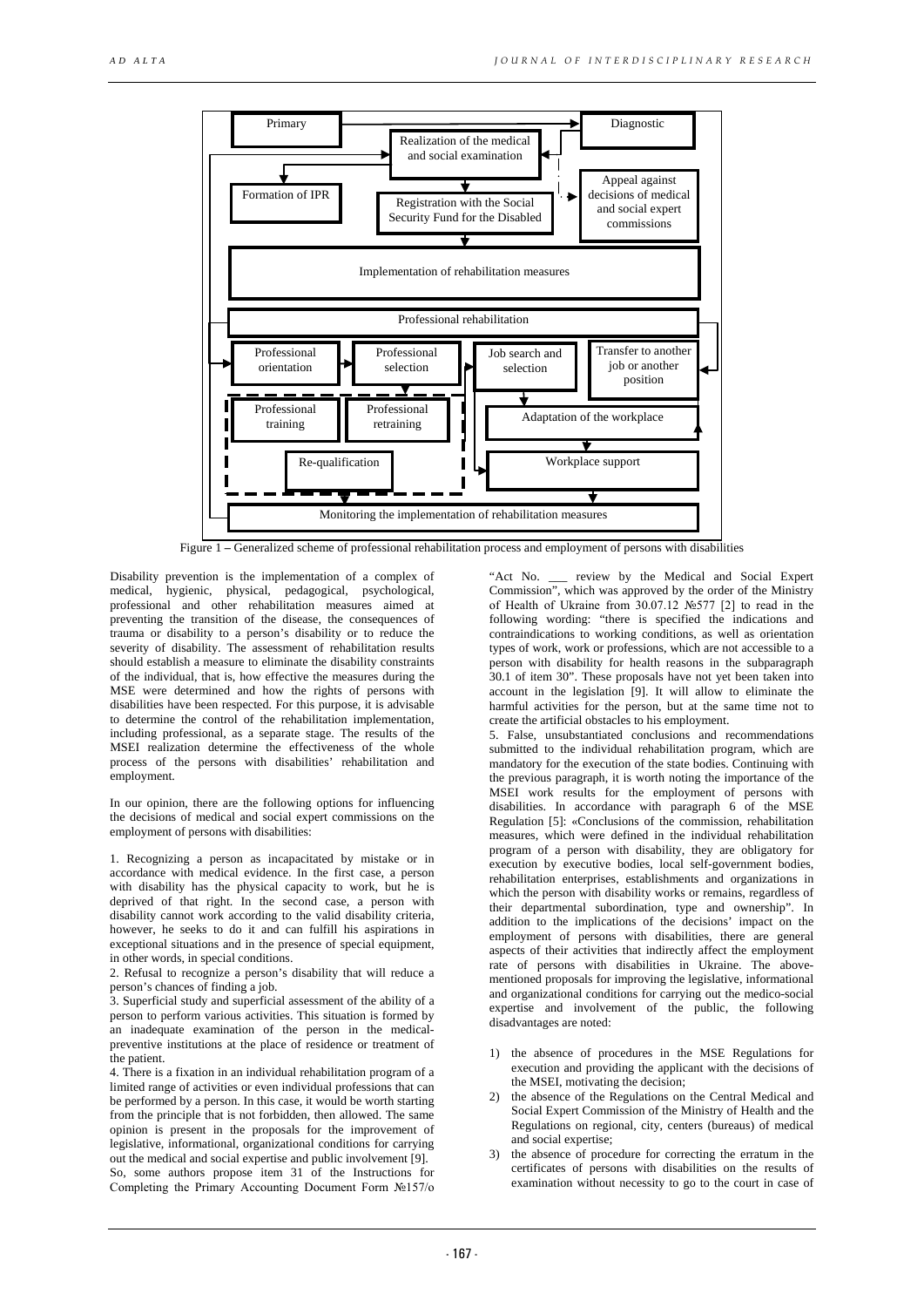

Figure 1 **–** Generalized scheme of professional rehabilitation process and employment of persons with disabilities

Disability prevention is the implementation of a complex of medical, hygienic, physical, pedagogical, psychological, professional and other rehabilitation measures aimed at preventing the transition of the disease, the consequences of trauma or disability to a person's disability or to reduce the severity of disability. The assessment of rehabilitation results should establish a measure to eliminate the disability constraints of the individual, that is, how effective the measures during the MSE were determined and how the rights of persons with disabilities have been respected. For this purpose, it is advisable to determine the control of the rehabilitation implementation, including professional, as a separate stage. The results of the MSEI realization determine the effectiveness of the whole process of the persons with disabilities' rehabilitation and employment.

In our opinion, there are the following options for influencing the decisions of medical and social expert commissions on the employment of persons with disabilities:

1. Recognizing a person as incapacitated by mistake or in accordance with medical evidence. In the first case, a person with disability has the physical capacity to work, but he is deprived of that right. In the second case, a person with disability cannot work according to the valid disability criteria, however, he seeks to do it and can fulfill his aspirations in exceptional situations and in the presence of special equipment, in other words, in special conditions.

2. Refusal to recognize a person's disability that will reduce a person's chances of finding a job.

3. Superficial study and superficial assessment of the ability of a person to perform various activities. This situation is formed by an inadequate examination of the person in the medicalpreventive institutions at the place of residence or treatment of the patient.

4. There is a fixation in an individual rehabilitation program of a limited range of activities or even individual professions that can be performed by a person. In this case, it would be worth starting from the principle that is not forbidden, then allowed. The same opinion is present in the proposals for the improvement of legislative, informational, organizational conditions for carrying out the medical and social expertise and public involvement [9]. So, some authors propose item 31 of the Instructions for Completing the Primary Accounting Document Form №157/о

"Act No. \_\_\_ review by the Medical and Social Expert Commission", which was approved by the order of the Ministry of Health of Ukraine from 30.07.12 №577 [2] to read in the following wording: "there is specified the indications and contraindications to working conditions, as well as orientation types of work, work or professions, which are not accessible to a person with disability for health reasons in the subparagraph 30.1 of item 30". These proposals have not yet been taken into account in the legislation [9]. It will allow to eliminate the harmful activities for the person, but at the same time not to create the artificial obstacles to his employment.

5. False, unsubstantiated conclusions and recommendations submitted to the individual rehabilitation program, which are mandatory for the execution of the state bodies. Continuing with the previous paragraph, it is worth noting the importance of the MSEI work results for the employment of persons with disabilities. In accordance with paragraph 6 of the MSE Regulation [5]: «Conclusions of the commission, rehabilitation measures, which were defined in the individual rehabilitation program of a person with disability, they are obligatory for execution by executive bodies, local self-government bodies, rehabilitation enterprises, establishments and organizations in which the person with disability works or remains, regardless of their departmental subordination, type and ownership". In addition to the implications of the decisions' impact on the employment of persons with disabilities, there are general aspects of their activities that indirectly affect the employment rate of persons with disabilities in Ukraine. The abovementioned proposals for improving the legislative, informational and organizational conditions for carrying out the medico-social expertise and involvement of the public, the following disadvantages are noted:

- 1) the absence of procedures in the MSE Regulations for execution and providing the applicant with the decisions of the MSEI, motivating the decision;
- the absence of the Regulations on the Central Medical and Social Expert Commission of the Ministry of Health and the Regulations on regional, city, centers (bureaus) of medical and social expertise;
- 3) the absence of procedure for correcting the erratum in the certificates of persons with disabilities on the results of examination without necessity to go to the court in case of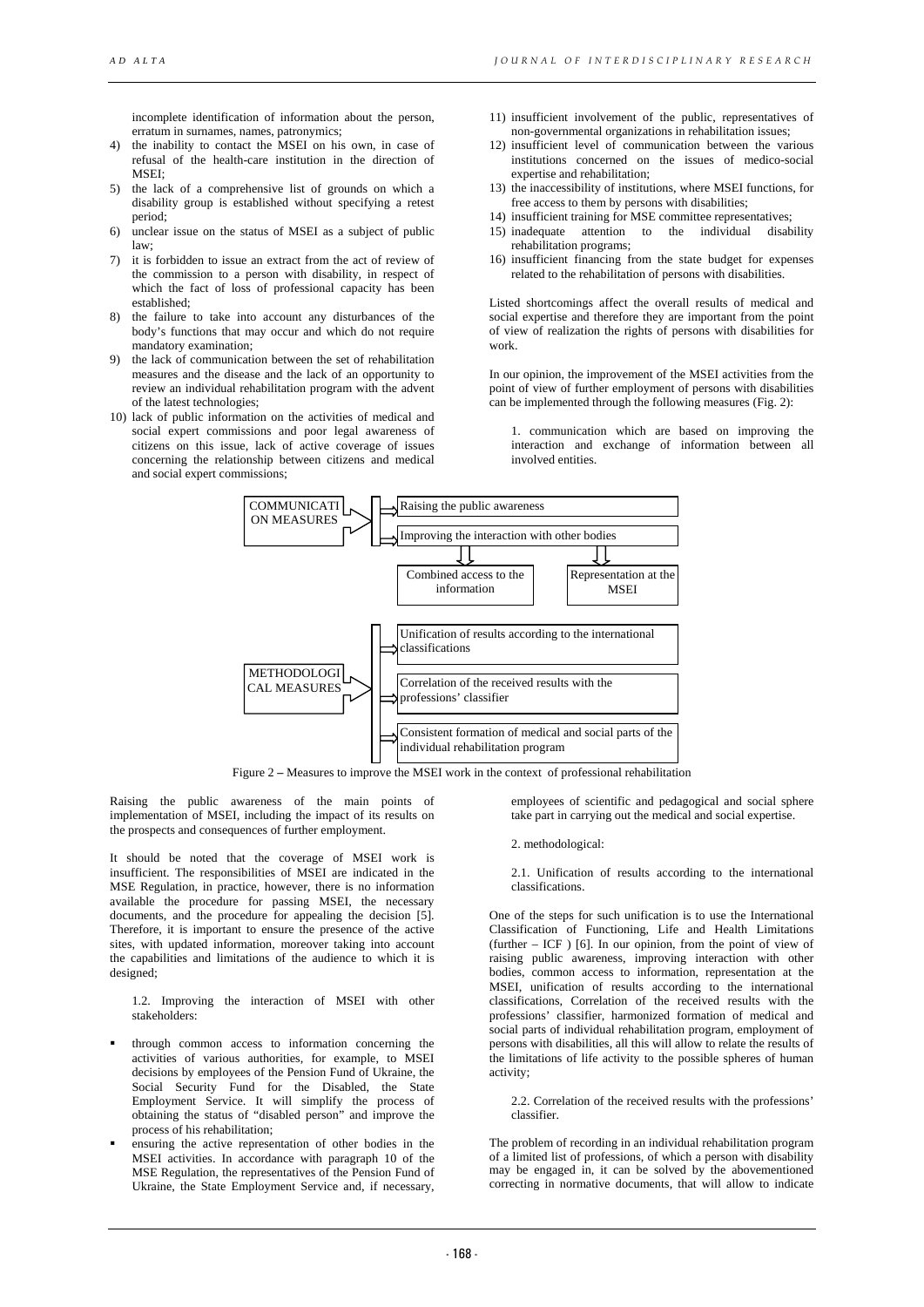incomplete identification of information about the person, erratum in surnames, names, patronymics;

- 4) the inability to contact the MSEI on his own, in case of refusal of the health-care institution in the direction of MSEI;
- 5) the lack of a comprehensive list of grounds on which a disability group is established without specifying a retest period;
- 6) unclear issue on the status of MSEI as a subject of public law;
- 7) it is forbidden to issue an extract from the act of review of the commission to a person with disability, in respect of which the fact of loss of professional capacity has been established;
- 8) the failure to take into account any disturbances of the body's functions that may occur and which do not require mandatory examination;
- 9) the lack of communication between the set of rehabilitation measures and the disease and the lack of an opportunity to review an individual rehabilitation program with the advent of the latest technologies;
- 10) lack of public information on the activities of medical and social expert commissions and poor legal awareness of citizens on this issue, lack of active coverage of issues concerning the relationship between citizens and medical and social expert commissions;
- 11) insufficient involvement of the public, representatives of non-governmental organizations in rehabilitation issues;
- 12) insufficient level of communication between the various institutions concerned on the issues of medico-social expertise and rehabilitation;
- 13) the inaccessibility of institutions, where MSEI functions, for free access to them by persons with disabilities;
- 14) insufficient training for MSE committee representatives;
- 15) inadequate attention to the individual disability rehabilitation programs;
- 16) insufficient financing from the state budget for expenses related to the rehabilitation of persons with disabilities.

Listed shortcomings affect the overall results of medical and social expertise and therefore they are important from the point of view of realization the rights of persons with disabilities for work.

In our opinion, the improvement of the MSEI activities from the point of view of further employment of persons with disabilities can be implemented through the following measures (Fig. 2):

1. communication which are based on improving the interaction and exchange of information between all involved entities.



Figure 2 **–** Measures to improve the MSEI work in the context of professional rehabilitation

Raising the public awareness of the main points of implementation of MSEI, including the impact of its results on the prospects and consequences of further employment.

It should be noted that the coverage of MSEI work is insufficient. The responsibilities of MSEI are indicated in the MSE Regulation, in practice, however, there is no information available the procedure for passing MSEI, the necessary documents, and the procedure for appealing the decision [5]. Therefore, it is important to ensure the presence of the active sites, with updated information, moreover taking into account the capabilities and limitations of the audience to which it is designed:

1.2. Improving the interaction of MSEI with other stakeholders:

- through common access to information concerning the activities of various authorities, for example, to MSEI decisions by employees of the Pension Fund of Ukraine, the Social Security Fund for the Disabled, the State Employment Service. It will simplify the process of obtaining the status of "disabled person" and improve the process of his rehabilitation;
- ensuring the active representation of other bodies in the MSEI activities. In accordance with paragraph 10 of the MSE Regulation, the representatives of the Pension Fund of Ukraine, the State Employment Service and, if necessary,

employees of scientific and pedagogical and social sphere take part in carrying out the medical and social expertise.

2. methodological:

2.1. Unification of results according to the international classifications.

One of the steps for such unification is to use the International Classification of Functioning, Life and Health Limitations  $(further - ICF)$  [6]. In our opinion, from the point of view of raising public awareness, improving interaction with other bodies, common access to information, representation at the MSEI, unification of results according to the international classifications, Correlation of the received results with the professions' classifier, harmonized formation of medical and social parts of individual rehabilitation program, employment of persons with disabilities, all this will allow to relate the results of the limitations of life activity to the possible spheres of human activity;

2.2. Correlation of the received results with the professions' classifier.

The problem of recording in an individual rehabilitation program of a limited list of professions, of which a person with disability may be engaged in, it can be solved by the abovementioned correcting in normative documents, that will allow to indicate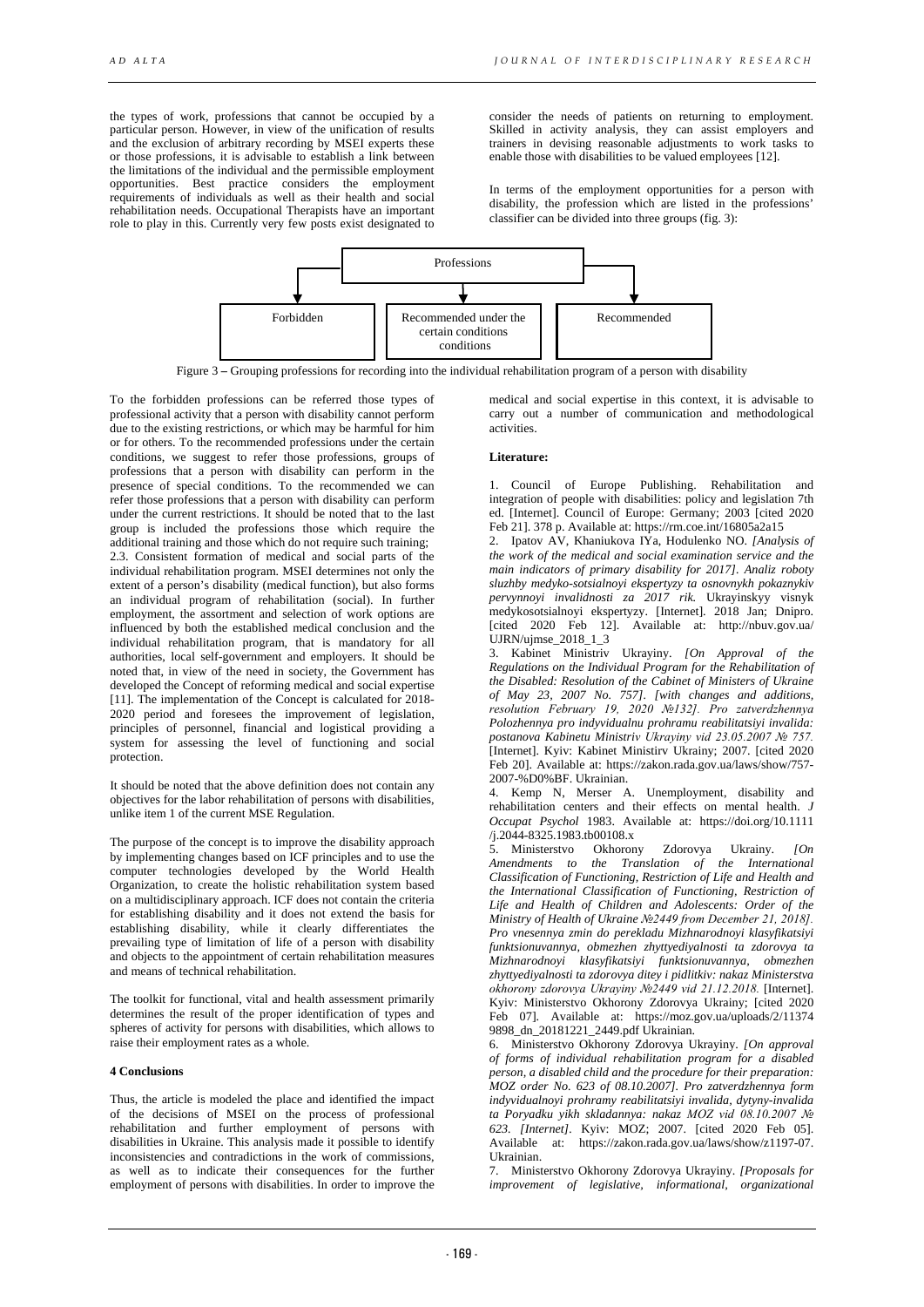the types of work, professions that cannot be occupied by a particular person. However, in view of the unification of results and the exclusion of arbitrary recording by MSEI experts these or those professions, it is advisable to establish a link between the limitations of the individual and the permissible employment opportunities. Best practice considers the employment requirements of individuals as well as their health and social rehabilitation needs. Occupational Therapists have an important role to play in this. Currently very few posts exist designated to

consider the needs of patients on returning to employment. Skilled in activity analysis, they can assist employers and trainers in devising reasonable adjustments to work tasks to enable those with disabilities to be valued employees [12].

In terms of the employment opportunities for a person with disability, the profession which are listed in the professions' classifier can be divided into three groups (fig. 3):



Figure 3 **–** Grouping professions for recording into the individual rehabilitation program of a person with disability

To the forbidden professions can be referred those types of professional activity that a person with disability cannot perform due to the existing restrictions, or which may be harmful for him or for others. To the recommended professions under the certain conditions, we suggest to refer those professions, groups of professions that a person with disability can perform in the presence of special conditions. To the recommended we can refer those professions that a person with disability can perform under the current restrictions. It should be noted that to the last group is included the professions those which require the additional training and those which do not require such training; 2.3. Consistent formation of medical and social parts of the individual rehabilitation program. MSEI determines not only the extent of a person's disability (medical function), but also forms an individual program of rehabilitation (social). In further employment, the assortment and selection of work options are influenced by both the established medical conclusion and the individual rehabilitation program, that is mandatory for all authorities, local self-government and employers. It should be noted that, in view of the need in society, the Government has developed the Concept of reforming medical and social expertise [11]. The implementation of the Concept is calculated for 2018- 2020 period and foresees the improvement of legislation, principles of personnel, financial and logistical providing a system for assessing the level of functioning and social protection.

It should be noted that the above definition does not contain any objectives for the labor rehabilitation of persons with disabilities, unlike item 1 of the current MSE Regulation.

The purpose of the concept is to improve the disability approach by implementing changes based on ICF principles and to use the computer technologies developed by the World Health Organization, to create the holistic rehabilitation system based on a multidisciplinary approach. ICF does not contain the criteria for establishing disability and it does not extend the basis for establishing disability, while it clearly differentiates the prevailing type of limitation of life of a person with disability and objects to the appointment of certain rehabilitation measures and means of technical rehabilitation.

The toolkit for functional, vital and health assessment primarily determines the result of the proper identification of types and spheres of activity for persons with disabilities, which allows to raise their employment rates as a whole.

### **4 Conclusions**

Thus, the article is modeled the place and identified the impact of the decisions of MSEI on the process of professional rehabilitation and further employment of persons with disabilities in Ukraine. This analysis made it possible to identify inconsistencies and contradictions in the work of commissions, as well as to indicate their consequences for the further employment of persons with disabilities. In order to improve the

medical and social expertise in this context, it is advisable to carry out a number of communication and methodological activities.

## **Literature:**

1. Council of Europe Publishing. Rehabilitation and integration of people with disabilities: policy and legislation 7th ed. [Internet]. Council of Europe: Germany; 2003 [cited 2020 Feb 21]. 378 p. Available at: https://rm.coe.int/16805a2a15

2. Ipatov AV, Khaniukova IYa, Hodulenko NO. *[Analysis of the work of the medical and social examination service and the main indicators of primary disability for 2017]. Analiz roboty sluzhby medyko-sotsialnoyi ekspertyzy ta osnovnykh pokaznykiv pervynnoyi invalidnosti za 2017 rik.* Ukrayinskyy visnyk medykosotsialnoyi ekspertyzy. [Internet]. 2018 Jan; Dnipro. [cited 2020 Feb 12]. Available at: http://nbuv.gov.ua/ UJRN/ujmse\_2018\_1\_3

3. Kabinet Ministriv Ukrayiny. *[On Approval of the Regulations on the Individual Program for the Rehabilitation of the Disabled: Resolution of the Cabinet of Ministers of Ukraine of May 23, 2007 No. 757]. [with changes and additions, resolution February 19, 2020 №132]. Pro zatverdzhennya Polozhennya pro indyvidualnu prohramu reabilitatsiyi invalida: postanova Kabinetu Ministriv Ukrayiny vid 23.05.2007 № 757.* [Internet]. Kyiv: Kabinet Ministirv Ukrainy; 2007. [cited 2020 Feb 20]. Available at: https://zakon.rada.gov.ua/laws/show/757- 2007-%D0%BF. Ukrainian.

4. Kemp N, Merser A. Unemployment, disability and rehabilitation centers and their effects on mental health. *J Occupat Psychol* 1983. Available at: https://doi.org/10.1111 /j.2044-8325.1983.tb00108.x

5. Ministerstvo Okhorony Zdorovya Ukrainy. *Amendments to the Translation of the International Classification of Functioning, Restriction of Life and Health and the International Classification of Functioning, Restriction of Life and Health of Children and Adolescents: Order of the Ministry of Health of Ukraine №2449 from December 21, 2018]. Pro vnesennya zmin do perekladu Mizhnarodnoyi klasyfikatsiyi funktsionuvannya, obmezhen zhyttyediyalnosti ta zdorovya ta Mizhnarodnoyi klasyfikatsiyi funktsionuvannya, obmezhen zhyttyediyalnosti ta zdorovya ditey i pidlitkiv: nakaz Ministerstva okhorony zdorovya Ukrayiny №2449 vid 21.12.2018.* [Internet]. Kyiv: Ministerstvo Okhorony Zdorovya Ukrainy; [cited 2020 Feb 07]. Available at: https://moz.gov.ua/uploads/2/11374 9898\_dn\_20181221\_2449.pdf Ukrainian.

6. Ministerstvo Okhorony Zdorovya Ukrayiny. *[On approval of forms of individual rehabilitation program for a disabled person, a disabled child and the procedure for their preparation: MOZ order No. 623 of 08.10.2007]. Pro zatverdzhennya form indyvidualnoyi prohramy reabilitatsiyi invalida, dytyny-invalida ta Poryadku yikh skladannya: nakaz MOZ vid 08.10.2007 № 623. [Internet].* Kyiv: MOZ; 2007. [cited 2020 Feb 05]. Available at: https://zakon.rada.gov.ua/laws/show/z1197-07. Ukrainian.

7. Ministerstvo Okhorony Zdorovya Ukrayiny. *[Proposals for improvement of legislative, informational, organizational*